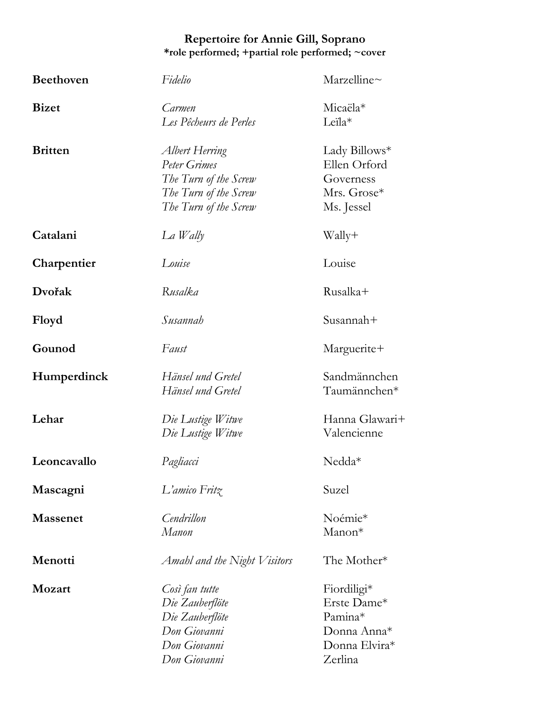## **Repertoire for Annie Gill, Soprano \*role performed; +partial role performed; ~cover**

| <b>Beethoven</b> | Fidelio                                                                                                   | Marzelline $\sim$                                                                |
|------------------|-----------------------------------------------------------------------------------------------------------|----------------------------------------------------------------------------------|
| <b>Bizet</b>     | Carmen<br>Les Pêcheurs de Perles                                                                          | Micaëla*<br>Leila*                                                               |
| <b>Britten</b>   | Albert Herring<br>Peter Grimes<br>The Turn of the Screw<br>The Turn of the Screw<br>The Turn of the Screw | Lady Billows*<br>Ellen Orford<br>Governess<br>Mrs. Grose*<br>Ms. Jessel          |
| Catalani         | $La$ <i>Wally</i>                                                                                         | Wally+                                                                           |
| Charpentier      | Louise                                                                                                    | Louise                                                                           |
| Dvořak           | Rusalka                                                                                                   | Rusalka+                                                                         |
| Floyd            | Susannah                                                                                                  | Susannah+                                                                        |
| Gounod           | Faust                                                                                                     | Marguerite+                                                                      |
| Humperdinck      | Hänsel und Gretel<br>Hänsel und Gretel                                                                    | Sandmännchen<br>Taumännchen*                                                     |
| Lehar            | Die Lustige Witwe<br>Die Lustige Witwe                                                                    | Hanna Glawari+<br>Valencienne                                                    |
| Leoncavallo      | Pagliacci                                                                                                 | $Nedd^*$                                                                         |
| Mascagni         | L'amico Fritz                                                                                             | Suzel                                                                            |
| <b>Massenet</b>  | Cendrillon<br>Manon                                                                                       | Noémie*<br>$Manon*$                                                              |
| Menotti          | Amahl and the Night Visitors                                                                              | The Mother*                                                                      |
| <b>Mozart</b>    | Così fan tutte<br>Die Zauberflöte<br>Die Zauberflöte<br>Don Giovanni<br>Don Giovanni<br>Don Giovanni      | Fiordiligi*<br>Erste Dame*<br>Pamina*<br>Donna Anna*<br>Donna Elvira*<br>Zerlina |